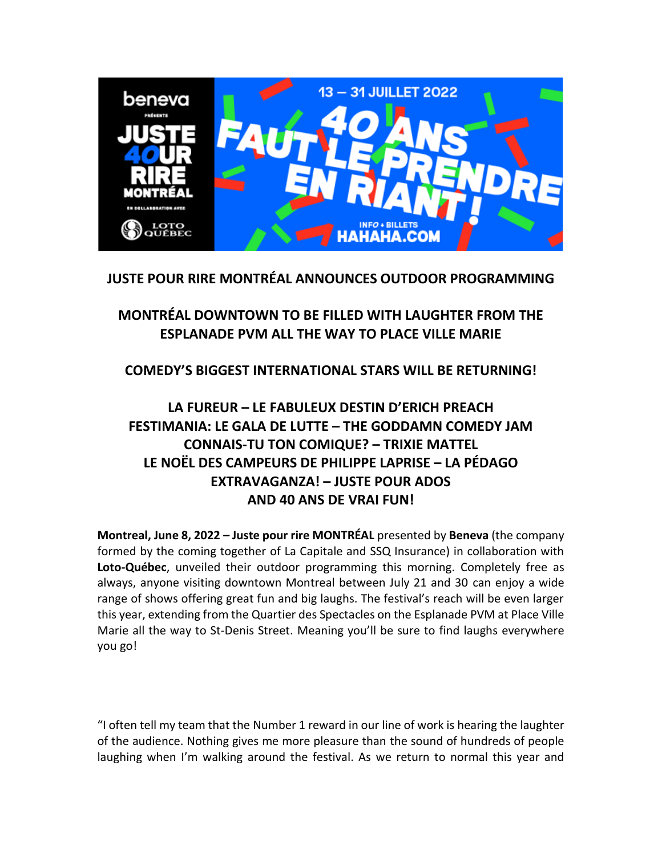

# **JUSTE POUR RIRE MONTRÉAL ANNOUNCES OUTDOOR PROGRAMMING**

# **MONTRÉAL DOWNTOWN TO BE FILLED WITH LAUGHTER FROM THE ESPLANADE PVM ALL THE WAY TO PLACE VILLE MARIE**

# **COMEDY'S BIGGEST INTERNATIONAL STARS WILL BE RETURNING!**

# **LA FUREUR – LE FABULEUX DESTIN D'ERICH PREACH FESTIMANIA: LE GALA DE LUTTE – THE GODDAMN COMEDY JAM CONNAIS-TU TON COMIQUE? – TRIXIE MATTEL LE NOËL DES CAMPEURS DE PHILIPPE LAPRISE – LA PÉDAGO EXTRAVAGANZA! – JUSTE POUR ADOS AND 40 ANS DE VRAI FUN!**

**Montreal, June 8, 2022 – Juste pour rire MONTRÉAL** presented by **Beneva** (the company formed by the coming together of La Capitale and SSQ Insurance) in collaboration with **Loto-Québec**, unveiled their outdoor programming this morning. Completely free as always, anyone visiting downtown Montreal between July 21 and 30 can enjoy a wide range of shows offering great fun and big laughs. The festival's reach will be even larger this year, extending from the Quartier des Spectacles on the Esplanade PVM at Place Ville Marie all the way to St-Denis Street. Meaning you'll be sure to find laughs everywhere you go!

"I often tell my team that the Number 1 reward in our line of work is hearing the laughter of the audience. Nothing gives me more pleasure than the sound of hundreds of people laughing when I'm walking around the festival. As we return to normal this year and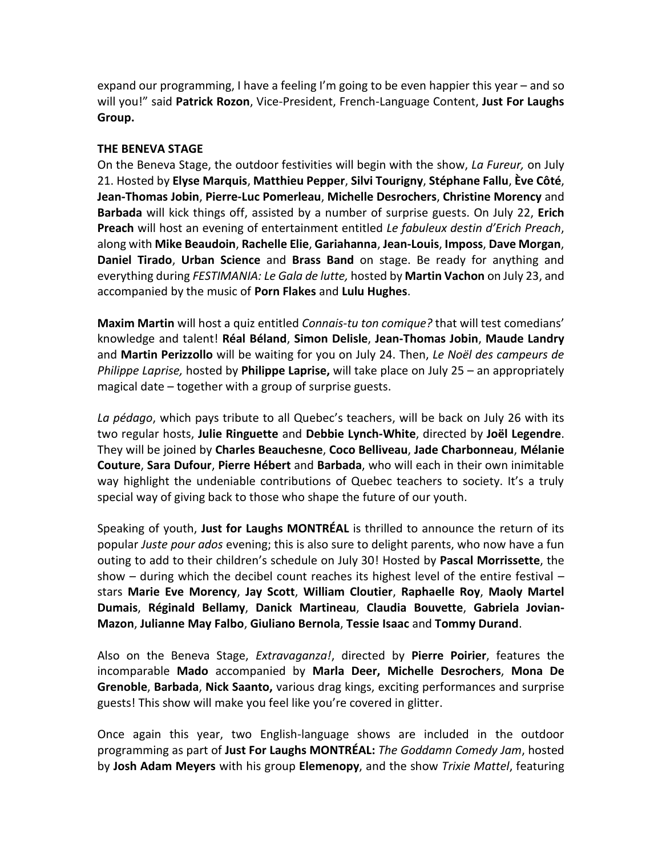expand our programming, I have a feeling I'm going to be even happier this year – and so will you!" said **Patrick Rozon**, Vice-President, French-Language Content, **Just For Laughs Group.**

## **THE BENEVA STAGE**

On the Beneva Stage, the outdoor festivities will begin with the show, *La Fureur,* on July 21. Hosted by **Elyse Marquis**, **Matthieu Pepper**, **Silvi Tourigny**, **Stéphane Fallu**, **Ève Côté**, **Jean-Thomas Jobin**, **Pierre-Luc Pomerleau**, **Michelle Desrochers**, **Christine Morency** and **Barbada** will kick things off, assisted by a number of surprise guests. On July 22, **Erich Preach** will host an evening of entertainment entitled *Le fabuleux destin d'Erich Preach*, along with **Mike Beaudoin**, **Rachelle Elie**, **Gariahanna**, **Jean-Louis**, **Imposs**, **Dave Morgan**, **Daniel Tirado**, **Urban Science** and **Brass Band** on stage. Be ready for anything and everything during *FESTIMANIA: Le Gala de lutte,* hosted by **Martin Vachon** on July 23, and accompanied by the music of **Porn Flakes** and **Lulu Hughes**.

**Maxim Martin** will host a quiz entitled *Connais-tu ton comique?* that will test comedians' knowledge and talent! **Réal Béland**, **Simon Delisle**, **Jean-Thomas Jobin**, **Maude Landry** and **Martin Perizzollo** will be waiting for you on July 24. Then, *Le Noël des campeurs de Philippe Laprise,* hosted by **Philippe Laprise,** will take place on July 25 – an appropriately magical date – together with a group of surprise guests.

*La pédago*, which pays tribute to all Quebec's teachers, will be back on July 26 with its two regular hosts, **Julie Ringuette** and **Debbie Lynch-White**, directed by **Joël Legendre**. They will be joined by **Charles Beauchesne**, **Coco Belliveau**, **Jade Charbonneau**, **Mélanie Couture**, **Sara Dufour**, **Pierre Hébert** and **Barbada**, who will each in their own inimitable way highlight the undeniable contributions of Quebec teachers to society. It's a truly special way of giving back to those who shape the future of our youth.

Speaking of youth, **Just for Laughs MONTRÉAL** is thrilled to announce the return of its popular *Juste pour ados* evening; this is also sure to delight parents, who now have a fun outing to add to their children's schedule on July 30! Hosted by **Pascal Morrissette**, the show  $-$  during which the decibel count reaches its highest level of the entire festival  $$ stars **Marie Eve Morency**, **Jay Scott**, **William Cloutier**, **Raphaelle Roy**, **Maoly Martel Dumais**, **Réginald Bellamy**, **Danick Martineau**, **Claudia Bouvette**, **Gabriela Jovian-Mazon**, **Julianne May Falbo**, **Giuliano Bernola**, **Tessie Isaac** and **Tommy Durand**.

Also on the Beneva Stage, *Extravaganza!*, directed by **Pierre Poirier**, features the incomparable **Mado** accompanied by **Marla Deer, Michelle Desrochers**, **Mona De Grenoble**, **Barbada**, **Nick Saanto,** various drag kings, exciting performances and surprise guests! This show will make you feel like you're covered in glitter.

Once again this year, two English-language shows are included in the outdoor programming as part of **Just For Laughs MONTRÉAL:** *The Goddamn Comedy Jam*, hosted by **Josh Adam Meyers** with his group **Elemenopy**, and the show *Trixie Mattel*, featuring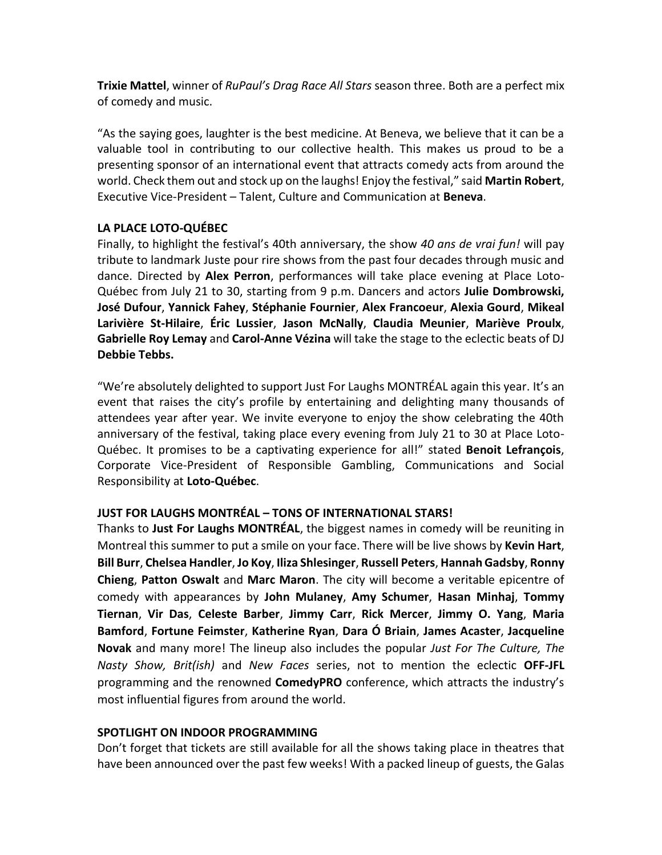**Trixie Mattel**, winner of *RuPaul's Drag Race All Stars* season three. Both are a perfect mix of comedy and music.

"As the saying goes, laughter is the best medicine. At Beneva, we believe that it can be a valuable tool in contributing to our collective health. This makes us proud to be a presenting sponsor of an international event that attracts comedy acts from around the world. Check them out and stock up on the laughs! Enjoy the festival," said **Martin Robert**, Executive Vice-President – Talent, Culture and Communication at **Beneva**.

# **LA PLACE LOTO-QUÉBEC**

Finally, to highlight the festival's 40th anniversary, the show *40 ans de vrai fun!* will pay tribute to landmark Juste pour rire shows from the past four decades through music and dance. Directed by **Alex Perron**, performances will take place evening at Place Loto-Québec from July 21 to 30, starting from 9 p.m. Dancers and actors **Julie Dombrowski, José Dufour**, **Yannick Fahey**, **Stéphanie Fournier**, **Alex Francoeur**, **Alexia Gourd**, **Mikeal Larivière St-Hilaire**, **Éric Lussier**, **Jason McNally**, **Claudia Meunier**, **Mariève Proulx**, **Gabrielle Roy Lemay** and **Carol-Anne Vézina** will take the stage to the eclectic beats of DJ **Debbie Tebbs.** 

"We're absolutely delighted to support Just For Laughs MONTRÉAL again this year. It's an event that raises the city's profile by entertaining and delighting many thousands of attendees year after year. We invite everyone to enjoy the show celebrating the 40th anniversary of the festival, taking place every evening from July 21 to 30 at Place Loto-Québec. It promises to be a captivating experience for all!" stated **Benoit Lefrançois**, Corporate Vice-President of Responsible Gambling, Communications and Social Responsibility at **Loto-Québec**.

## **JUST FOR LAUGHS MONTRÉAL – TONS OF INTERNATIONAL STARS!**

Thanks to **Just For Laughs MONTRÉAL**, the biggest names in comedy will be reuniting in Montreal this summer to put a smile on your face. There will be live shows by **Kevin Hart**, **Bill Burr**, **Chelsea Handler**, **Jo Koy**, **Iliza Shlesinger**, **Russell Peters**, **Hannah Gadsby**, **Ronny Chieng**, **Patton Oswalt** and **Marc Maron**. The city will become a veritable epicentre of comedy with appearances by **John Mulaney**, **Amy Schumer**, **Hasan Minhaj**, **Tommy Tiernan**, **Vir Das**, **Celeste Barber**, **Jimmy Carr**, **Rick Mercer**, **Jimmy O. Yang**, **Maria Bamford**, **Fortune Feimster**, **Katherine Ryan**, **Dara Ó Briain**, **James Acaster**, **Jacqueline Novak** and many more! The lineup also includes the popular *Just For The Culture, The Nasty Show, Brit(ish)* and *New Faces* series, not to mention the eclectic **OFF-JFL** programming and the renowned **ComedyPRO** conference, which attracts the industry's most influential figures from around the world.

## **SPOTLIGHT ON INDOOR PROGRAMMING**

Don't forget that tickets are still available for all the shows taking place in theatres that have been announced over the past few weeks! With a packed lineup of guests, the Galas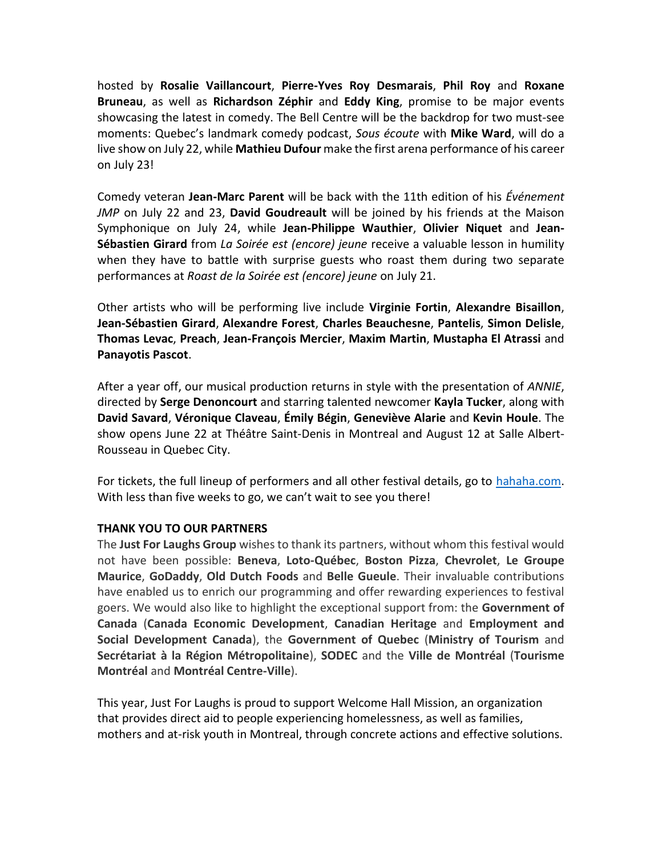hosted by **Rosalie Vaillancourt**, **Pierre-Yves Roy Desmarais**, **Phil Roy** and **Roxane Bruneau**, as well as **Richardson Zéphir** and **Eddy King**, promise to be major events showcasing the latest in comedy. The Bell Centre will be the backdrop for two must-see moments: Quebec's landmark comedy podcast, *Sous écoute* with **Mike Ward**, will do a live show on July 22, while **Mathieu Dufour** make the first arena performance of his career on July 23!

Comedy veteran **Jean-Marc Parent** will be back with the 11th edition of his *Événement JMP* on July 22 and 23, **David Goudreault** will be joined by his friends at the Maison Symphonique on July 24, while **Jean-Philippe Wauthier**, **Olivier Niquet** and **Jean-Sébastien Girard** from *La Soirée est (encore) jeune* receive a valuable lesson in humility when they have to battle with surprise guests who roast them during two separate performances at *Roast de la Soirée est (encore) jeune* on July 21.

Other artists who will be performing live include **Virginie Fortin**, **Alexandre Bisaillon**, **Jean-Sébastien Girard**, **Alexandre Forest**, **Charles Beauchesne**, **Pantelis**, **Simon Delisle**, **Thomas Levac**, **Preach**, **Jean-François Mercier**, **Maxim Martin**, **Mustapha El Atrassi** and **Panayotis Pascot**.

After a year off, our musical production returns in style with the presentation of *ANNIE*, directed by **Serge Denoncourt** and starring talented newcomer **Kayla Tucker**, along with **David Savard**, **Véronique Claveau**, **Émily Bégin**, **Geneviève Alarie** and **Kevin Houle**. The show opens June 22 at Théâtre Saint-Denis in Montreal and August 12 at Salle Albert-Rousseau in Quebec City.

For tickets, the full lineup of performers and all other festival details, go to [hahaha.com.](http://www.hahaha.com/) With less than five weeks to go, we can't wait to see you there!

## **THANK YOU TO OUR PARTNERS**

The **Just For Laughs Group** wishes to thank its partners, without whom this festival would not have been possible: **Beneva**, **Loto-Québec**, **Boston Pizza**, **Chevrolet**, **Le Groupe Maurice**, **GoDaddy**, **Old Dutch Foods** and **Belle Gueule**. Their invaluable contributions have enabled us to enrich our programming and offer rewarding experiences to festival goers. We would also like to highlight the exceptional support from: the **Government of Canada** (**Canada Economic Development**, **Canadian Heritage** and **Employment and Social Development Canada**), the **Government of Quebec** (**Ministry of Tourism** and **Secrétariat à la Région Métropolitaine**), **SODEC** and the **Ville de Montréal** (**Tourisme Montréal** and **Montréal Centre-Ville**).

This year, Just For Laughs is proud to support Welcome Hall Mission, an organization that provides direct aid to people experiencing homelessness, as well as families, mothers and at-risk youth in Montreal, through concrete actions and effective solutions.